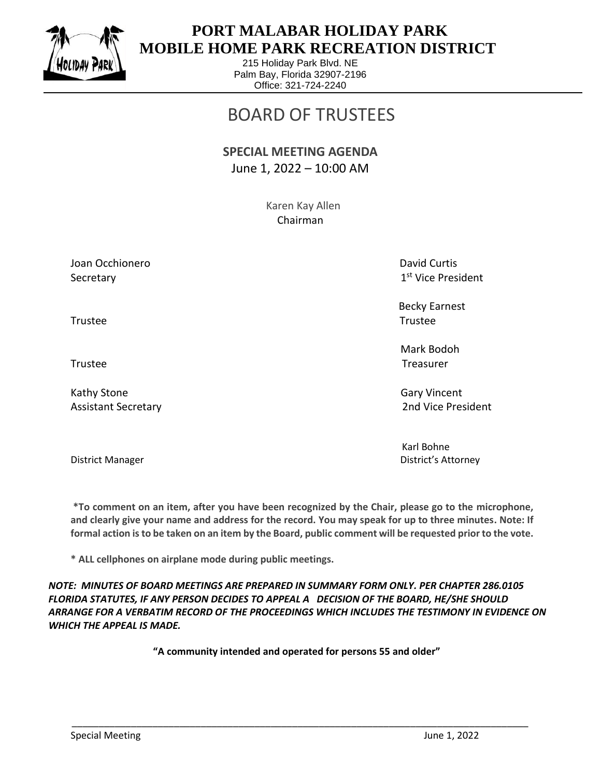

 $\overline{a}$ 

## **PORT MALABAR HOLIDAY PARK MOBILE HOME PARK RECREATION DISTRICT**

215 Holiday Park Blvd. NE Palm Bay, Florida 32907-2196 Office: 321-724-2240

## BOARD OF TRUSTEES

## **SPECIAL MEETING AGENDA** June 1, 2022 – 10:00 AM

 Karen Kay Allen Chairman

Joan Occhionero **David Curtis** Curtis Curtis Curtis Curtis Curtis Curtis Curtis Curtis Curtis Curtis Curtis Curtis Secretary

1st Vice President

 Becky Earnest Trustee Trustee

 Mark Bodoh Trustee Trustee

Assistant Secretary 2nd Vice President

Karl Bohne District Manager District's Attorney

**\*To comment on an item, after you have been recognized by the Chair, please go to the microphone, and clearly give your name and address for the record. You may speak for up to three minutes. Note: If** 

**formal action is to be taken on an item by the Board, public comment will be requested prior to the vote.**

**\* ALL cellphones on airplane mode during public meetings.**

*NOTE: MINUTES OF BOARD MEETINGS ARE PREPARED IN SUMMARY FORM ONLY. PER CHAPTER 286.0105 FLORIDA STATUTES, IF ANY PERSON DECIDES TO APPEAL A DECISION OF THE BOARD, HE/SHE SHOULD ARRANGE FOR A VERBATIM RECORD OF THE PROCEEDINGS WHICH INCLUDES THE TESTIMONY IN EVIDENCE ON WHICH THE APPEAL IS MADE.*

**"A community intended and operated for persons 55 and older"**

\_\_\_\_\_\_\_\_\_\_\_\_\_\_\_\_\_\_\_\_\_\_\_\_\_\_\_\_\_\_\_\_\_\_\_\_\_\_\_\_\_\_\_\_\_\_\_\_\_\_\_\_\_\_\_\_\_\_\_\_\_\_\_\_\_\_\_\_\_\_\_\_\_\_\_\_\_\_\_\_\_\_\_\_\_

Kathy Stone Gary Vincent Control of the Gary Vincent Control of the Gary Vincent Control of the Gary Vincent Co